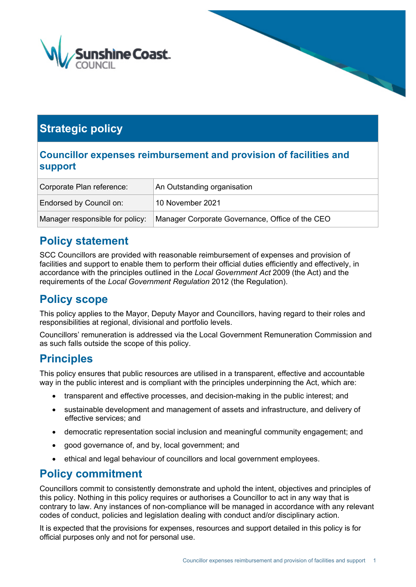

# **Strategic policy**

### **Councillor expenses reimbursement and provision of facilities and support**

| Corporate Plan reference:       | An Outstanding organisation                     |  |
|---------------------------------|-------------------------------------------------|--|
| Endorsed by Council on:         | 10 November 2021                                |  |
| Manager responsible for policy: | Manager Corporate Governance, Office of the CEO |  |

### **Policy statement**

SCC Councillors are provided with reasonable reimbursement of expenses and provision of facilities and support to enable them to perform their official duties efficiently and effectively, in accordance with the principles outlined in the *Local Government Act* 2009 (the Act) and the requirements of the *Local Government Regulation* 2012 (the Regulation).

## **Policy scope**

This policy applies to the Mayor, Deputy Mayor and Councillors, having regard to their roles and responsibilities at regional, divisional and portfolio levels.

Councillors' remuneration is addressed via the Local Government Remuneration Commission and as such falls outside the scope of this policy.

## **Principles**

This policy ensures that public resources are utilised in a transparent, effective and accountable way in the public interest and is compliant with the principles underpinning the Act, which are:

- transparent and effective processes, and decision-making in the public interest; and
- sustainable development and management of assets and infrastructure, and delivery of effective services; and
- democratic representation social inclusion and meaningful community engagement; and
- good governance of, and by, local government; and
- ethical and legal behaviour of councillors and local government employees.

### **Policy commitment**

Councillors commit to consistently demonstrate and uphold the intent, objectives and principles of this policy. Nothing in this policy requires or authorises a Councillor to act in any way that is contrary to law. Any instances of non-compliance will be managed in accordance with any relevant codes of conduct, policies and legislation dealing with conduct and/or disciplinary action.

It is expected that the provisions for expenses, resources and support detailed in this policy is for official purposes only and not for personal use.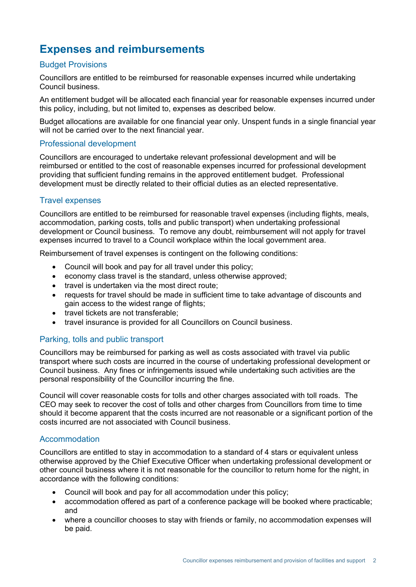## **Expenses and reimbursements**

#### Budget Provisions

Councillors are entitled to be reimbursed for reasonable expenses incurred while undertaking Council business.

An entitlement budget will be allocated each financial year for reasonable expenses incurred under this policy, including, but not limited to, expenses as described below.

Budget allocations are available for one financial year only. Unspent funds in a single financial year will not be carried over to the next financial year.

#### Professional development

Councillors are encouraged to undertake relevant professional development and will be reimbursed or entitled to the cost of reasonable expenses incurred for professional development providing that sufficient funding remains in the approved entitlement budget. Professional development must be directly related to their official duties as an elected representative.

#### Travel expenses

Councillors are entitled to be reimbursed for reasonable travel expenses (including flights, meals, accommodation, parking costs, tolls and public transport) when undertaking professional development or Council business. To remove any doubt, reimbursement will not apply for travel expenses incurred to travel to a Council workplace within the local government area.

Reimbursement of travel expenses is contingent on the following conditions:

- Council will book and pay for all travel under this policy;
- economy class travel is the standard, unless otherwise approved;
- travel is undertaken via the most direct route;
- requests for travel should be made in sufficient time to take advantage of discounts and gain access to the widest range of flights;
- travel tickets are not transferable;
- travel insurance is provided for all Councillors on Council business.

#### Parking, tolls and public transport

Councillors may be reimbursed for parking as well as costs associated with travel via public transport where such costs are incurred in the course of undertaking professional development or Council business. Any fines or infringements issued while undertaking such activities are the personal responsibility of the Councillor incurring the fine.

Council will cover reasonable costs for tolls and other charges associated with toll roads. The CEO may seek to recover the cost of tolls and other charges from Councillors from time to time should it become apparent that the costs incurred are not reasonable or a significant portion of the costs incurred are not associated with Council business.

#### Accommodation

Councillors are entitled to stay in accommodation to a standard of 4 stars or equivalent unless otherwise approved by the Chief Executive Officer when undertaking professional development or other council business where it is not reasonable for the councillor to return home for the night, in accordance with the following conditions:

- Council will book and pay for all accommodation under this policy;
- accommodation offered as part of a conference package will be booked where practicable; and
- where a councillor chooses to stay with friends or family, no accommodation expenses will be paid.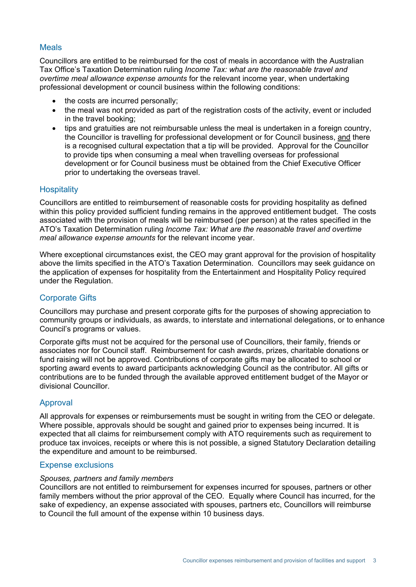#### Meals

Councillors are entitled to be reimbursed for the cost of meals in accordance with the Australian Tax Office's Taxation Determination ruling *Income Tax: what are the reasonable travel and overtime meal allowance expense amounts* for the relevant income year, when undertaking professional development or council business within the following conditions:

- the costs are incurred personally;
- the meal was not provided as part of the registration costs of the activity, event or included in the travel booking;
- tips and gratuities are not reimbursable unless the meal is undertaken in a foreign country, the Councillor is travelling for professional development or for Council business, and there is a recognised cultural expectation that a tip will be provided. Approval for the Councillor to provide tips when consuming a meal when travelling overseas for professional development or for Council business must be obtained from the Chief Executive Officer prior to undertaking the overseas travel.

#### **Hospitality**

Councillors are entitled to reimbursement of reasonable costs for providing hospitality as defined within this policy provided sufficient funding remains in the approved entitlement budget. The costs associated with the provision of meals will be reimbursed (per person) at the rates specified in the ATO's Taxation Determination ruling *Income Tax: What are the reasonable travel and overtime meal allowance expense amounts* for the relevant income year.

Where exceptional circumstances exist, the CEO may grant approval for the provision of hospitality above the limits specified in the ATO's Taxation Determination. Councillors may seek guidance on the application of expenses for hospitality from the Entertainment and Hospitality Policy required under the Regulation.

#### Corporate Gifts

Councillors may purchase and present corporate gifts for the purposes of showing appreciation to community groups or individuals, as awards, to interstate and international delegations, or to enhance Council's programs or values.

Corporate gifts must not be acquired for the personal use of Councillors, their family, friends or associates nor for Council staff. Reimbursement for cash awards, prizes, charitable donations or fund raising will not be approved. Contributions of corporate gifts may be allocated to school or sporting award events to award participants acknowledging Council as the contributor. All gifts or contributions are to be funded through the available approved entitlement budget of the Mayor or divisional Councillor.

#### Approval

All approvals for expenses or reimbursements must be sought in writing from the CEO or delegate. Where possible, approvals should be sought and gained prior to expenses being incurred. It is expected that all claims for reimbursement comply with ATO requirements such as requirement to produce tax invoices, receipts or where this is not possible, a signed Statutory Declaration detailing the expenditure and amount to be reimbursed.

#### Expense exclusions

#### *Spouses, partners and family members*

Councillors are not entitled to reimbursement for expenses incurred for spouses, partners or other family members without the prior approval of the CEO. Equally where Council has incurred, for the sake of expediency, an expense associated with spouses, partners etc, Councillors will reimburse to Council the full amount of the expense within 10 business days.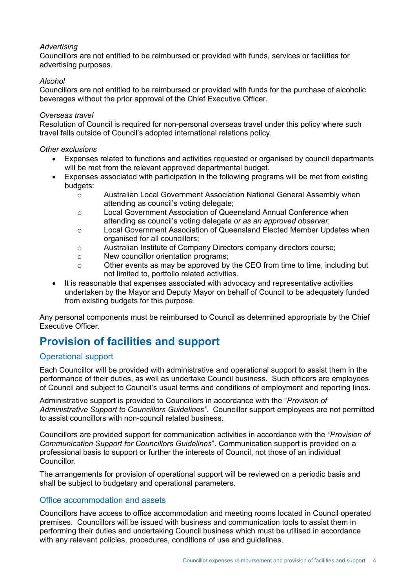#### *Advertising*

Councillors are not entitled to be reimbursed or provided with funds, services or facilities for advertising purposes.

#### *Alcohol*

Councillors are not entitled to be reimbursed or provided with funds for the purchase of alcoholic beverages without the prior approval of the Chief Executive Officer.

#### *Overseas travel*

Resolution of Council is required for non-personal overseas travel under this policy where such travel falls outside of Council's adopted international relations policy.

#### *Other exclusions*

- Expenses related to functions and activities requested or organised by council departments will be met from the relevant approved departmental budget.
- Expenses associated with participation in the following programs will be met from existing budgets:
	- o Australian Local Government Association National General Assembly when attending as council's voting delegate;
	- o Local Government Association of Queensland Annual Conference when attending as council's voting delegate *or as an approved observer*;
	- o Local Government Association of Queensland Elected Member Updates when organised for all councillors;
	- o Australian Institute of Company Directors company directors course;<br>
	New councillor orientation programs:
	- New councillor orientation programs;
	- o Other events as may be approved by the CEO from time to time, including but not limited to, portfolio related activities.
- It is reasonable that expenses associated with advocacy and representative activities undertaken by the Mayor and Deputy Mayor on behalf of Council to be adequately funded from existing budgets for this purpose.

Any personal components must be reimbursed to Council as determined appropriate by the Chief Executive Officer.

## **Provision of facilities and support**

#### Operational support

Each Councillor will be provided with administrative and operational support to assist them in the performance of their duties, as well as undertake Council business. Such officers are employees of Council and subject to Council's usual terms and conditions of employment and reporting lines.

Administrative support is provided to Councillors in accordance with the "*Provision of Administrative Support to Councillors Guidelines"*. Councillor support employees are not permitted to assist councillors with non-council related business.

Councillors are provided support for communication activities in accordance with the *"Provision of Communication Support for Councillors Guidelines*". Communication support is provided on a professional basis to support or further the interests of Council, not those of an individual Councillor.

The arrangements for provision of operational support will be reviewed on a periodic basis and shall be subject to budgetary and operational parameters.

#### Office accommodation and assets

Councillors have access to office accommodation and meeting rooms located in Council operated premises. Councillors will be issued with business and communication tools to assist them in performing their duties and undertaking Council business which must be utilised in accordance with any relevant policies, procedures, conditions of use and guidelines.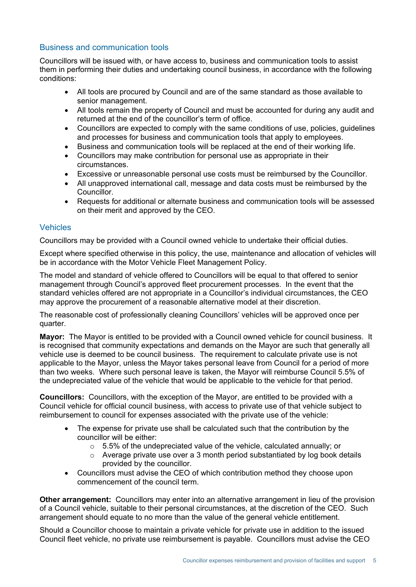#### Business and communication tools

Councillors will be issued with, or have access to, business and communication tools to assist them in performing their duties and undertaking council business, in accordance with the following conditions:

- All tools are procured by Council and are of the same standard as those available to senior management.
- All tools remain the property of Council and must be accounted for during any audit and returned at the end of the councillor's term of office.
- Councillors are expected to comply with the same conditions of use, policies, guidelines and processes for business and communication tools that apply to employees.
- Business and communication tools will be replaced at the end of their working life.
- Councillors may make contribution for personal use as appropriate in their circumstances.
- Excessive or unreasonable personal use costs must be reimbursed by the Councillor.
- All unapproved international call, message and data costs must be reimbursed by the Councillor.
- Requests for additional or alternate business and communication tools will be assessed on their merit and approved by the CEO.

#### Vehicles

Councillors may be provided with a Council owned vehicle to undertake their official duties.

Except where specified otherwise in this policy, the use, maintenance and allocation of vehicles will be in accordance with the Motor Vehicle Fleet Management Policy.

The model and standard of vehicle offered to Councillors will be equal to that offered to senior management through Council's approved fleet procurement processes. In the event that the standard vehicles offered are not appropriate in a Councillor's individual circumstances, the CEO may approve the procurement of a reasonable alternative model at their discretion.

The reasonable cost of professionally cleaning Councillors' vehicles will be approved once per quarter.

**Mayor:** The Mayor is entitled to be provided with a Council owned vehicle for council business. It is recognised that community expectations and demands on the Mayor are such that generally all vehicle use is deemed to be council business. The requirement to calculate private use is not applicable to the Mayor, unless the Mayor takes personal leave from Council for a period of more than two weeks. Where such personal leave is taken, the Mayor will reimburse Council 5.5% of the undepreciated value of the vehicle that would be applicable to the vehicle for that period.

**Councillors:** Councillors, with the exception of the Mayor, are entitled to be provided with a Council vehicle for official council business, with access to private use of that vehicle subject to reimbursement to council for expenses associated with the private use of the vehicle:

- The expense for private use shall be calculated such that the contribution by the councillor will be either:
	- $\circ$  5.5% of the undepreciated value of the vehicle, calculated annually; or
	- o Average private use over a 3 month period substantiated by log book details provided by the councillor.
- Councillors must advise the CEO of which contribution method they choose upon commencement of the council term.

**Other arrangement:** Councillors may enter into an alternative arrangement in lieu of the provision of a Council vehicle, suitable to their personal circumstances, at the discretion of the CEO. Such arrangement should equate to no more than the value of the general vehicle entitlement.

Should a Councillor choose to maintain a private vehicle for private use in addition to the issued Council fleet vehicle, no private use reimbursement is payable. Councillors must advise the CEO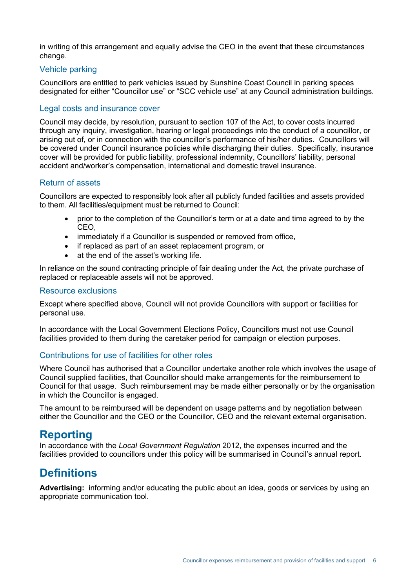in writing of this arrangement and equally advise the CEO in the event that these circumstances change.

#### Vehicle parking

Councillors are entitled to park vehicles issued by Sunshine Coast Council in parking spaces designated for either "Councillor use" or "SCC vehicle use" at any Council administration buildings.

#### Legal costs and insurance cover

Council may decide, by resolution, pursuant to section 107 of the Act, to cover costs incurred through any inquiry, investigation, hearing or legal proceedings into the conduct of a councillor, or arising out of, or in connection with the councillor's performance of his/her duties. Councillors will be covered under Council insurance policies while discharging their duties. Specifically, insurance cover will be provided for public liability, professional indemnity, Councillors' liability, personal accident and/worker's compensation, international and domestic travel insurance.

#### Return of assets

Councillors are expected to responsibly look after all publicly funded facilities and assets provided to them. All facilities/equipment must be returned to Council:

- prior to the completion of the Councillor's term or at a date and time agreed to by the CEO,
- immediately if a Councillor is suspended or removed from office,
- if replaced as part of an asset replacement program, or
- at the end of the asset's working life.

In reliance on the sound contracting principle of fair dealing under the Act, the private purchase of replaced or replaceable assets will not be approved.

#### Resource exclusions

Except where specified above, Council will not provide Councillors with support or facilities for personal use.

In accordance with the Local Government Elections Policy, Councillors must not use Council facilities provided to them during the caretaker period for campaign or election purposes.

#### Contributions for use of facilities for other roles

Where Council has authorised that a Councillor undertake another role which involves the usage of Council supplied facilities, that Councillor should make arrangements for the reimbursement to Council for that usage. Such reimbursement may be made either personally or by the organisation in which the Councillor is engaged.

The amount to be reimbursed will be dependent on usage patterns and by negotiation between either the Councillor and the CEO or the Councillor, CEO and the relevant external organisation.

### **Reporting**

In accordance with the *Local Government Regulation* 2012, the expenses incurred and the facilities provided to councillors under this policy will be summarised in Council's annual report.

### **Definitions**

**Advertising:** informing and/or educating the public about an idea, goods or services by using an appropriate communication tool.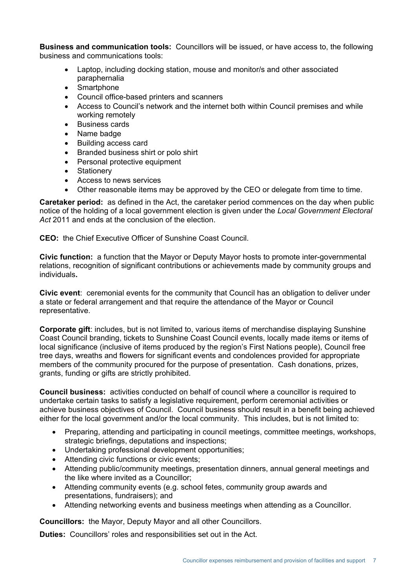**Business and communication tools:** Councillors will be issued, or have access to, the following business and communications tools:

- Laptop, including docking station, mouse and monitor/s and other associated paraphernalia
- Smartphone
- Council office-based printers and scanners
- Access to Council's network and the internet both within Council premises and while working remotely
- Business cards
- Name badge
- Building access card
- Branded business shirt or polo shirt
- Personal protective equipment
- Stationery
- Access to news services
- Other reasonable items may be approved by the CEO or delegate from time to time.

**Caretaker period:** as defined in the Act, the caretaker period commences on the day when public notice of the holding of a local government election is given under the *Local Government Electoral Act* 2011 and ends at the conclusion of the election.

**CEO:** the Chief Executive Officer of Sunshine Coast Council.

**Civic function:** a function that the Mayor or Deputy Mayor hosts to promote inter-governmental relations, recognition of significant contributions or achievements made by community groups and individuals**.**

**Civic event**: ceremonial events for the community that Council has an obligation to deliver under a state or federal arrangement and that require the attendance of the Mayor or Council representative.

**Corporate gift**: includes, but is not limited to, various items of merchandise displaying Sunshine Coast Council branding, tickets to Sunshine Coast Council events, locally made items or items of local significance (inclusive of items produced by the region's First Nations people), Council free tree days, wreaths and flowers for significant events and condolences provided for appropriate members of the community procured for the purpose of presentation. Cash donations, prizes, grants, funding or gifts are strictly prohibited.

**Council business:** activities conducted on behalf of council where a councillor is required to undertake certain tasks to satisfy a legislative requirement, perform ceremonial activities or achieve business objectives of Council. Council business should result in a benefit being achieved either for the local government and/or the local community. This includes, but is not limited to:

- Preparing, attending and participating in council meetings, committee meetings, workshops, strategic briefings, deputations and inspections;
- Undertaking professional development opportunities;
- Attending civic functions or civic events;
- Attending public/community meetings, presentation dinners, annual general meetings and the like where invited as a Councillor;
- Attending community events (e.g. school fetes, community group awards and presentations, fundraisers); and
- Attending networking events and business meetings when attending as a Councillor.

**Councillors:** the Mayor, Deputy Mayor and all other Councillors.

**Duties:** Councillors' roles and responsibilities set out in the Act.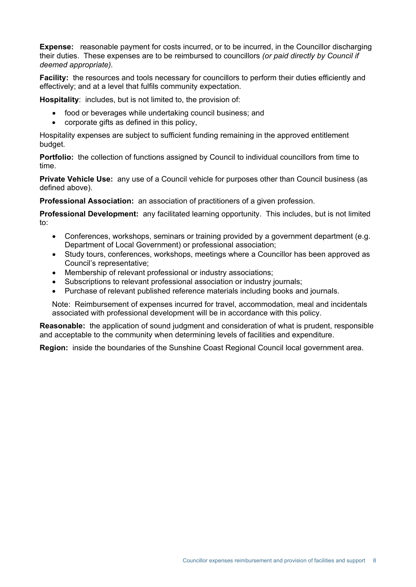**Expense:** reasonable payment for costs incurred, or to be incurred, in the Councillor discharging their duties. These expenses are to be reimbursed to councillors *(or paid directly by Council if deemed appropriate).*

**Facility:** the resources and tools necessary for councillors to perform their duties efficiently and effectively; and at a level that fulfils community expectation.

**Hospitality**: includes, but is not limited to, the provision of:

- food or beverages while undertaking council business; and
- corporate gifts as defined in this policy,

Hospitality expenses are subject to sufficient funding remaining in the approved entitlement budget.

**Portfolio:** the collection of functions assigned by Council to individual councillors from time to time.

**Private Vehicle Use:** any use of a Council vehicle for purposes other than Council business (as defined above).

**Professional Association:** an association of practitioners of a given profession.

**Professional Development:** any facilitated learning opportunity. This includes, but is not limited to:

- Conferences, workshops, seminars or training provided by a government department (e.g. Department of Local Government) or professional association;
- Study tours, conferences, workshops, meetings where a Councillor has been approved as Council's representative;
- Membership of relevant professional or industry associations;
- Subscriptions to relevant professional association or industry journals;
- Purchase of relevant published reference materials including books and journals.

Note: Reimbursement of expenses incurred for travel, accommodation, meal and incidentals associated with professional development will be in accordance with this policy.

**Reasonable:** the application of sound judgment and consideration of what is prudent, responsible and acceptable to the community when determining levels of facilities and expenditure.

**Region:** inside the boundaries of the Sunshine Coast Regional Council local government area.